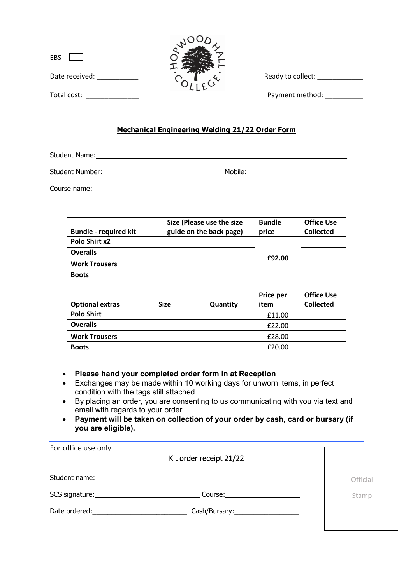| $\overline{\phantom{a}}$ |  |
|--------------------------|--|
|                          |  |

|   | O  | J∧ |  |
|---|----|----|--|
| エ | ù. |    |  |

Date received: \_\_\_\_\_\_\_\_\_\_\_ Ready to collect: \_\_\_\_\_\_\_\_\_\_\_\_

Total cost:  $\blacksquare$ 

## **Mechanical Engineering Welding 21/22 Order Form**

Student Name:

Student Number: Nobile: Mobile: Mobile: Mobile: Mobile: Mobile: Mobile: Mobile: Number: 2008. 2009. 2009. 2009

Course name:

| <b>Bundle - required kit</b> | Size (Please use the size<br>guide on the back page) | <b>Bundle</b><br>price | <b>Office Use</b><br><b>Collected</b> |
|------------------------------|------------------------------------------------------|------------------------|---------------------------------------|
| Polo Shirt x2                |                                                      |                        |                                       |
| <b>Overalls</b>              |                                                      |                        |                                       |
| <b>Work Trousers</b>         |                                                      | £92.00                 |                                       |
| <b>Boots</b>                 |                                                      |                        |                                       |

|                        |      |          | <b>Price per</b> | <b>Office Use</b> |
|------------------------|------|----------|------------------|-------------------|
| <b>Optional extras</b> | Size | Quantity | item             | <b>Collected</b>  |
| <b>Polo Shirt</b>      |      |          | £11.00           |                   |
| <b>Overalls</b>        |      |          | £22.00           |                   |
| <b>Work Trousers</b>   |      |          | £28.00           |                   |
| <b>Boots</b>           |      |          | £20.00           |                   |

## • **Please hand your completed order form in at Reception**

- Exchanges may be made within 10 working days for unworn items, in perfect condition with the tags still attached.
- By placing an order, you are consenting to us communicating with you via text and email with regards to your order.
- **Payment will be taken on collection of your order by cash, card or bursary (if you are eligible).**

| For office use only                                                                                                                                                                                                            | Kit order receipt 21/22             |          |
|--------------------------------------------------------------------------------------------------------------------------------------------------------------------------------------------------------------------------------|-------------------------------------|----------|
| Student name: 1997                                                                                                                                                                                                             |                                     | Official |
| SCS signature: Note and the set of the set of the set of the set of the set of the set of the set of the set of the set of the set of the set of the set of the set of the set of the set of the set of the set of the set of  | Course: _____________________       | Stamp    |
| Date ordered: and the state of the state of the state of the state of the state of the state of the state of the state of the state of the state of the state of the state of the state of the state of the state of the state | Cash/Bursary:______________________ |          |